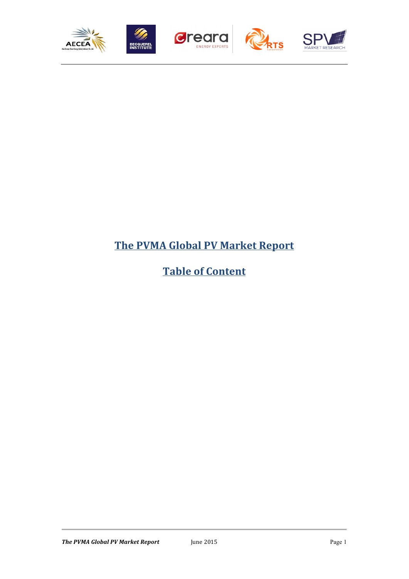

## **The PVMA Global PV Market Report**

# **Table of Content**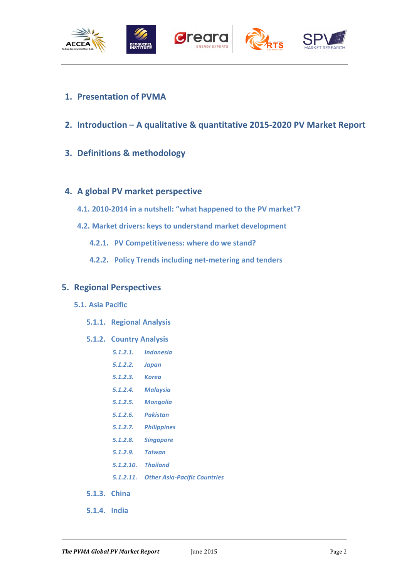

- **1. Presentation of PVMA**
- **2.** Introduction A qualitative & quantitative 2015-2020 PV Market Report
- **3. Definitions & methodology**

## **4.** A global PV market perspective

- 4.1. **2010-2014** in a nutshell: "what happened to the PV market"?
- **4.2. Market drivers: keys to understand market development** 
	- **4.2.1. PV Competitiveness: where do we stand?**
	- **4.2.2. Policy Trends including net-metering and tenders**

## **5. Regional Perspectives**

#### **5.1. Asia Pacific**

**5.1.1. Regional Analysis**

#### **5.1.2. Country Analysis**

- *5.1.2.1. Indonesia*
- *5.1.2.2. Japan*
- *5.1.2.3. Korea*
- *5.1.2.4. Malaysia*
- *5.1.2.5. Mongolia*
- *5.1.2.6. Pakistan*
- *5.1.2.7. Philippines*
- *5.1.2.8. Singapore*
- *5.1.2.9. Taiwan*
- *5.1.2.10. Thailand*
- *5.1.2.11. Other Asia-Pacific Countries*
- **5.1.3. China**
- **5.1.4. India**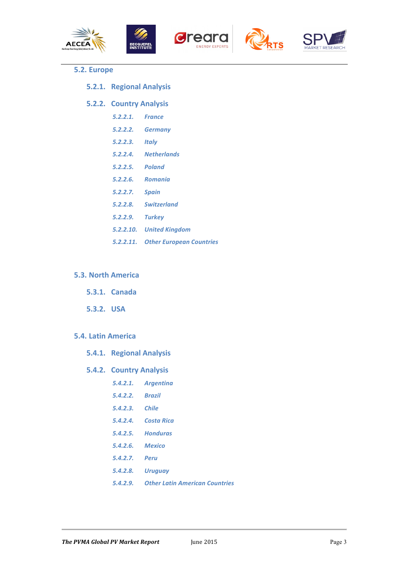









#### **5.2. Europe**

**5.2.1. Regional Analysis**

#### **5.2.2. Country Analysis**

- *5.2.2.1. France*
- *5.2.2.2. Germany*
- *5.2.2.3. Italy*
- *5.2.2.4. Netherlands*
- *5.2.2.5. Poland*
- *5.2.2.6. Romania*
- *5.2.2.7. Spain*
- *5.2.2.8. Switzerland*
- *5.2.2.9. Turkey*
- *5.2.2.10. United Kingdom*
- *5.2.2.11. Other European Countries*

#### **5.3. North America**

- **5.3.1. Canada**
- **5.3.2. USA**

#### **5.4. Latin America**

- **5.4.1. Regional Analysis**
- **5.4.2. Country Analysis**
	- *5.4.2.1. Argentina*
		- *5.4.2.2. Brazil*
		- *5.4.2.3. Chile*
		- *5.4.2.4. Costa Rica*
		- *5.4.2.5. Honduras*
		- *5.4.2.6. Mexico*
		- *5.4.2.7. Peru*
		- *5.4.2.8. Uruguay*
		- *5.4.2.9. Other Latin American Countries*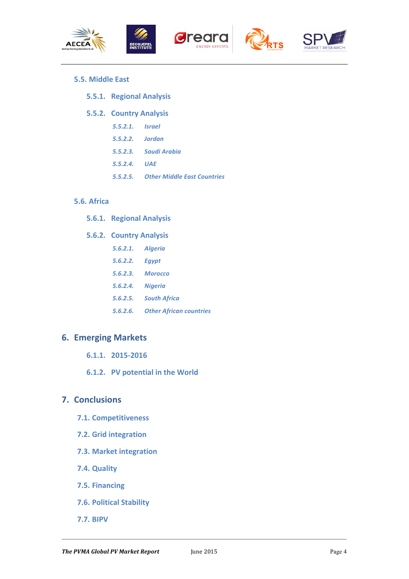









#### **5.5. Middle East**

**5.5.1. Regional Analysis**

#### **5.5.2. Country Analysis**

- *5.5.2.1. Israel*
- *5.5.2.2. Jordan*
- *5.5.2.3. Saudi Arabia*
- *5.5.2.4. UAE*
- *5.5.2.5. Other Middle East Countries*

#### **5.6. Africa**

**5.6.1. Regional Analysis**

#### **5.6.2. Country Analysis**

- *5.6.2.1. Algeria*
- *5.6.2.2. Egypt*
- *5.6.2.3. Morocco*
- *5.6.2.4. Nigeria*
- *5.6.2.5. South Africa*
- *5.6.2.6. Other African countries*

## **6. Emerging Markets**

- **6.1.1. 2015-2016**
- **6.1.2.** PV potential in the World

### **7. Conclusions**

- **7.1. Competitiveness**
- **7.2. Grid integration**
- **7.3. Market integration**
- **7.4. Quality**
- **7.5. Financing**
- **7.6. Political Stability**
- **7.7. BIPV**